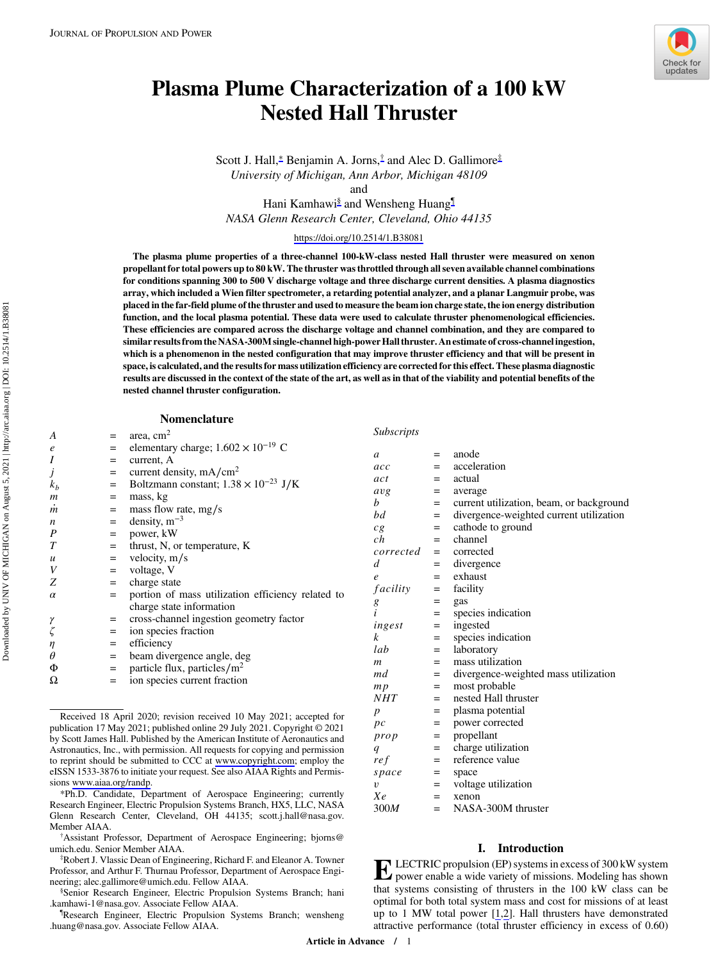

# Plasma Plume Characterization of a 100 kW Nested Hall Thruster

Scott J. Hall,<sup>∗</sup> Benjamin A. Jorns,† and Alec D. Gallimore‡ University of Michigan, Ann Arbor, Michigan 48109

and

Hani Kamhawi§ and Wensheng Huang¶ NASA Glenn Research Center, Cleveland, Ohio 44135

<https://doi.org/10.2514/1.B38081>

The plasma plume properties of a three-channel 100-kW-class nested Hall thruster were measured on xenon propellant for total powers up to 80 kW. The thruster was throttled through all seven available channel combinations for conditions spanning 300 to 500 V discharge voltage and three discharge current densities. A plasma diagnostics array, which included a Wien filter spectrometer, a retarding potential analyzer, and a planar Langmuir probe, was placed in the far-field plume of the thruster and used to measure the beam ion charge state, the ion energy distribution function, and the local plasma potential. These data were used to calculate thruster phenomenological efficiencies. These efficiencies are compared across the discharge voltage and channel combination, and they are compared to similar results from the NASA-300M single-channel high-power Hall thruster. An estimate of cross-channel ingestion, which is a phenomenon in the nested configuration that may improve thruster efficiency and that will be present in space, is calculated, and the results for mass utilization efficiency are corrected for this effect. These plasma diagnostic results are discussed in the context of the state of the art, as well as in that of the viability and potential benefits of the nested channel thruster configuration.

# Nomonoloture

|                                                                              |     | <b>TVOIHEIRTAULE</b>                              |                         |     |                                          |
|------------------------------------------------------------------------------|-----|---------------------------------------------------|-------------------------|-----|------------------------------------------|
| A                                                                            | $=$ | area, $cm2$                                       | <b>Subscripts</b>       |     |                                          |
| e                                                                            | $=$ | elementary charge; $1.602 \times 10^{-19}$ C      |                         |     | anode                                    |
|                                                                              | $=$ | current. A                                        | $\mathfrak{a}$          | $=$ | acceleration                             |
|                                                                              | $=$ | current density, $mA/cm2$                         | acc                     | $=$ | actual                                   |
| $k_b$                                                                        | $=$ | Boltzmann constant; $1.38 \times 10^{-23}$ J/K    | act                     | $=$ |                                          |
| m                                                                            | $=$ | mass, kg                                          | avg<br>b                | $=$ | average                                  |
| m                                                                            | $=$ | mass flow rate, $mg/s$                            | bd                      | $=$ | current utilization, beam, or background |
| n                                                                            | $=$ | density, $m^{-3}$                                 |                         | $=$ | divergence-weighted current utilization  |
| P                                                                            | $=$ | power, kW                                         | $c_{\mathcal{S}}$<br>ch | $=$ | cathode to ground<br>channel             |
| T                                                                            | $=$ | thrust, N, or temperature, K                      |                         | $=$ |                                          |
| u                                                                            | $=$ | velocity, $m/s$                                   | corrected               | $=$ | corrected                                |
| V                                                                            | $=$ | voltage, V                                        | d                       | $=$ | divergence                               |
| Z                                                                            | $=$ | charge state                                      | e                       | $=$ | exhaust                                  |
| $\alpha$                                                                     | $=$ | portion of mass utilization efficiency related to | facility                | $=$ | facility                                 |
|                                                                              |     | charge state information                          | g                       | $=$ | gas                                      |
| γ                                                                            | $=$ | cross-channel ingestion geometry factor           |                         | $=$ | species indication                       |
|                                                                              | $=$ | ion species fraction                              | ingest                  | $=$ | ingested                                 |
| η                                                                            | $=$ | efficiency                                        | k                       | $=$ | species indication                       |
| $\theta$                                                                     | $=$ | beam divergence angle, deg                        | lab                     | $=$ | laboratory                               |
| Φ                                                                            | $=$ | particle flux, particles/ $m2$                    | $\mathfrak{m}$          | $=$ | mass utilization                         |
| Ω                                                                            | $=$ | ion species current fraction                      | md                      | $=$ | divergence-weighted mass utilization     |
|                                                                              |     |                                                   | mp                      | $=$ | most probable                            |
|                                                                              |     |                                                   | <b>NHT</b>              | $=$ | nested Hall thruster                     |
| Received 18 April 2020; revision received 10 May 2021; accepted for          |     |                                                   | $\boldsymbol{p}$        | $=$ | plasma potential                         |
| publication 17 May 2021; published online 29 July 2021. Copyright © 2021     |     |                                                   | pc                      | $=$ | power corrected                          |
| by Scott James Hall. Published by the American Institute of Aeronautics and  |     |                                                   | prop                    | $=$ | propellant                               |
| Astronautics, Inc., with permission. All requests for copying and permission |     |                                                   | q                       | $=$ | charge utilization                       |
| to reprint should be submitted to CCC at www.convright.com: employ the       |     |                                                   | re f                    | $=$ | reference value                          |

to reprint should be submitted to CCC at [www.copyright.com;](www.copyright.com) employ the eISSN 1533-3876 to initiate your request. See also AIAA Rights and Permissions<www.aiaa.org/randp>. \*Ph.D. Candidate, Department of Aerospace Engineering; currently

Research Engineer, Electric Propulsion Systems Branch, HX5, LLC, NASA Glenn Research Center, Cleveland, OH 44135; scott.j.hall@nasa.gov. Member AIAA.

Assistant Professor, Department of Aerospace Engineering; bjorns@ umich.edu. Senior Member AIAA. ‡

Robert J. Vlassic Dean of Engineering, Richard F. and Eleanor A. Towner Professor, and Arthur F. Thurnau Professor, Department of Aerospace Engineering; alec.gallimore@umich.edu. Fellow AIAA.

§ Senior Research Engineer, Electric Propulsion Systems Branch; hani .kamhawi-1@nasa.gov. Associate Fellow AIAA.

¶ Research Engineer, Electric Propulsion Systems Branch; wensheng .huang@nasa.gov. Associate Fellow AIAA.

# I. Introduction

 $=$  NASA-300M thruster

**ELECTRIC** propulsion (EP) systems in excess of 300 kW system<br>power enable a wide variety of missions. Modeling has shown that systems consisting of thrusters in the 100 kW class can be optimal for both total system mass and cost for missions of at least up to 1 MW total power [[1,2\]](#page-12-0). Hall thrusters have demonstrated attractive performance (total thruster efficiency in excess of 0.60)

 $space = space$ 

 $Xe$  = xenon<br>300*M* = NASA

 $v =$  voltage utilization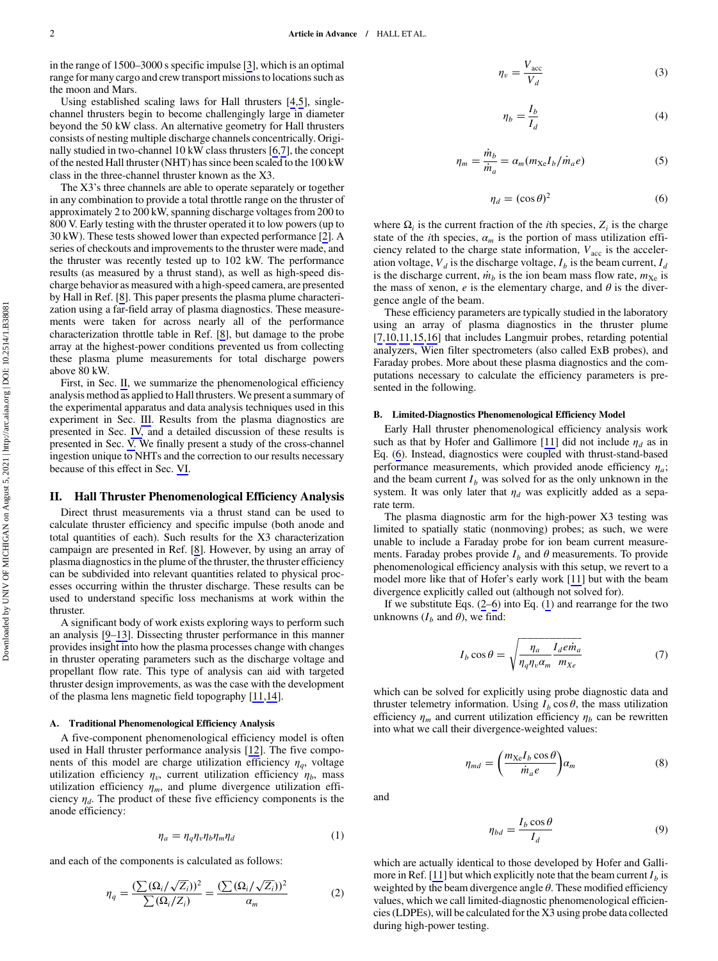<span id="page-1-0"></span>in the range of 1500–3000 s specific impulse [\[3\]](#page-12-0), which is an optimal range for many cargo and crew transport missions to locations such as the moon and Mars.

Using established scaling laws for Hall thrusters [\[4,5\]](#page-12-0), singlechannel thrusters begin to become challengingly large in diameter beyond the 50 kW class. An alternative geometry for Hall thrusters consists of nesting multiple discharge channels concentrically. Originally studied in two-channel 10 kW class thrusters [[6](#page-12-0),[7](#page-12-0)], the concept of the nested Hall thruster (NHT) has since been scaled to the 100 kW class in the three-channel thruster known as the X3.

The X3's three channels are able to operate separately or together in any combination to provide a total throttle range on the thruster of approximately 2 to 200 kW, spanning discharge voltages from 200 to 800 V. Early testing with the thruster operated it to low powers (up to 30 kW). These tests showed lower than expected performance [[2](#page-12-0)]. A series of checkouts and improvements to the thruster were made, and the thruster was recently tested up to 102 kW. The performance results (as measured by a thrust stand), as well as high-speed discharge behavior as measured with a high-speed camera, are presented by Hall in Ref. [\[8\]](#page-12-0). This paper presents the plasma plume characterization using a far-field array of plasma diagnostics. These measurements were taken for across nearly all of the performance characterization throttle table in Ref. [\[8\]](#page-12-0), but damage to the probe array at the highest-power conditions prevented us from collecting these plasma plume measurements for total discharge powers above 80 kW.

First, in Sec. II, we summarize the phenomenological efficiency analysis method as applied to Hall thrusters.We present a summary of the experimental apparatus and data analysis techniques used in this experiment in Sec. [III](#page-2-0). Results from the plasma diagnostics are presented in Sec. [IV,](#page-4-0) and a detailed discussion of these results is presented in Sec. [V.](#page-6-0) We finally present a study of the cross-channel ingestion unique to NHTs and the correction to our results necessary because of this effect in Sec. [VI](#page-9-0).

#### II. Hall Thruster Phenomenological Efficiency Analysis

Direct thrust measurements via a thrust stand can be used to calculate thruster efficiency and specific impulse (both anode and total quantities of each). Such results for the X3 characterization campaign are presented in Ref. [\[8\]](#page-12-0). However, by using an array of plasma diagnostics in the plume of the thruster, the thruster efficiency can be subdivided into relevant quantities related to physical processes occurring within the thruster discharge. These results can be used to understand specific loss mechanisms at work within the thruster.

A significant body of work exists exploring ways to perform such an analysis [[9](#page-12-0)–[13\]](#page-12-0). Dissecting thruster performance in this manner provides insight into how the plasma processes change with changes in thruster operating parameters such as the discharge voltage and propellant flow rate. This type of analysis can aid with targeted thruster design improvements, as was the case with the development of the plasma lens magnetic field topography [[11,14](#page-12-0)].

## A. Traditional Phenomenological Efficiency Analysis

A five-component phenomenological efficiency model is often used in Hall thruster performance analysis [\[12](#page-12-0)]. The five components of this model are charge utilization efficiency  $\eta_q$ , voltage utilization efficiency  $\eta_v$ , current utilization efficiency  $\eta_b$ , mass utilization efficiency  $\eta_m$ , and plume divergence utilization efficiency  $\eta_d$ . The product of these five efficiency components is the anode efficiency:

$$
\eta_a = \eta_q \eta_v \eta_b \eta_m \eta_d \tag{1}
$$

and each of the components is calculated as follows:

$$
\eta_q = \frac{\left(\sum (\Omega_i/\sqrt{Z_i})\right)^2}{\sum (\Omega_i/Z_i)} = \frac{\left(\sum (\Omega_i/\sqrt{Z_i})\right)^2}{\alpha_m} \tag{2}
$$

$$
\eta_v = \frac{V_{\text{acc}}}{V_d} \tag{3}
$$

$$
\eta_b = \frac{I_b}{I_d} \tag{4}
$$

$$
\eta_m = \frac{\dot{m}_b}{\dot{m}_a} = \alpha_m (m_{\text{X}e} I_b / \dot{m}_a e) \tag{5}
$$

$$
\eta_d = (\cos \theta)^2 \tag{6}
$$

where  $\Omega_i$  is the current fraction of the *i*th species,  $Z_i$  is the charge state of the *i*th species,  $\alpha_m$  is the portion of mass utilization efficiency related to the charge state information,  $V_{\text{acc}}$  is the acceleration voltage,  $V_d$  is the discharge voltage,  $I_b$  is the beam current,  $I_d$ is the discharge current,  $\dot{m}_b$  is the ion beam mass flow rate,  $m_{\text{Xe}}$  is the mass of xenon,  $e$  is the elementary charge, and  $\theta$  is the divergence angle of the beam.

These efficiency parameters are typically studied in the laboratory using an array of plasma diagnostics in the thruster plume [\[7,10,11,15](#page-12-0),[16\]](#page-12-0) that includes Langmuir probes, retarding potential analyzers, Wien filter spectrometers (also called ExB probes), and Faraday probes. More about these plasma diagnostics and the computations necessary to calculate the efficiency parameters is presented in the following.

#### B. Limited-Diagnostics Phenomenological Efficiency Model

Early Hall thruster phenomenological efficiency analysis work such as that by Hofer and Gallimore [\[11](#page-12-0)] did not include  $\eta_d$  as in Eq. (6). Instead, diagnostics were coupled with thrust-stand-based performance measurements, which provided anode efficiency  $\eta_a$ ; and the beam current  $I_b$  was solved for as the only unknown in the system. It was only later that  $\eta_d$  was explicitly added as a separate term.

The plasma diagnostic arm for the high-power X3 testing was limited to spatially static (nonmoving) probes; as such, we were unable to include a Faraday probe for ion beam current measurements. Faraday probes provide  $I_b$  and  $\theta$  measurements. To provide phenomenological efficiency analysis with this setup, we revert to a model more like that of Hofer's early work [\[11](#page-12-0)] but with the beam divergence explicitly called out (although not solved for).

If we substitute Eqs. (2–6) into Eq. (1) and rearrange for the two unknowns ( $I_b$  and  $\theta$ ), we find:

$$
I_b \cos \theta = \sqrt{\frac{\eta_a}{\eta_q \eta_v \alpha_m} \frac{I_d e \dot{m}_a}{m_{Xe}}} \tag{7}
$$

which can be solved for explicitly using probe diagnostic data and thruster telemetry information. Using  $I_b \cos \theta$ , the mass utilization efficiency  $\eta_m$  and current utilization efficiency  $\eta_b$  can be rewritten into what we call their divergence-weighted values:

$$
\eta_{md} = \left(\frac{m_{\text{X}e}I_b \cos \theta}{\dot{m}_a e}\right) \alpha_m \tag{8}
$$

and

$$
\eta_{bd} = \frac{I_b \cos \theta}{I_d} \tag{9}
$$

which are actually identical to those developed by Hofer and Galli-more in Ref. [\[11](#page-12-0)] but which explicitly note that the beam current  $I<sub>b</sub>$  is weighted by the beam divergence angle  $\theta$ . These modified efficiency values, which we call limited-diagnostic phenomenological efficiencies (LDPEs), will be calculated for the X3 using probe data collected during high-power testing.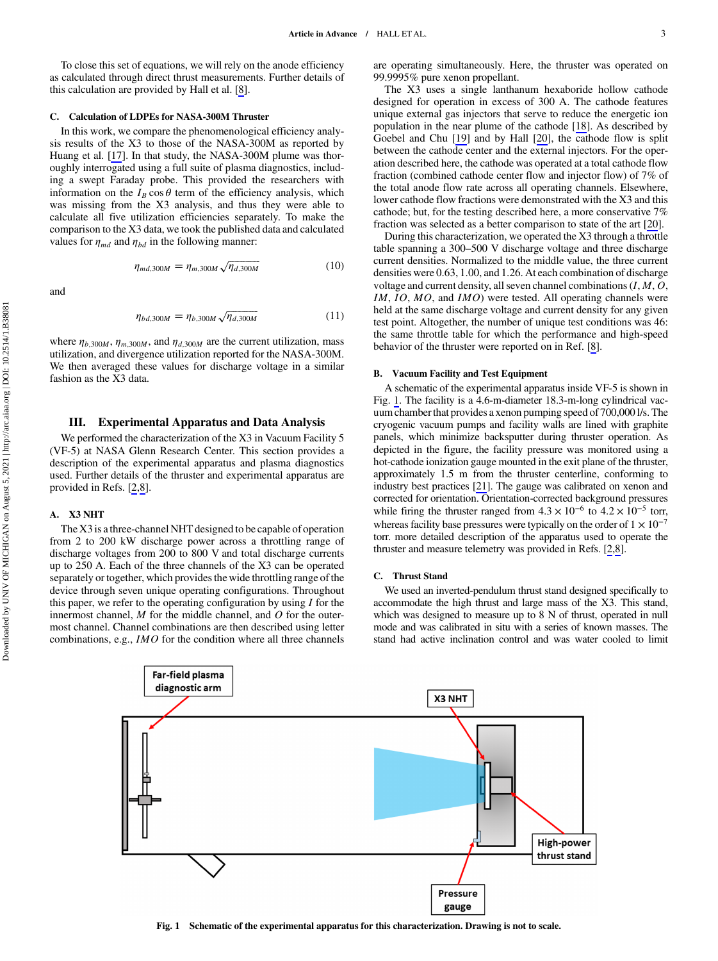<span id="page-2-0"></span>To close this set of equations, we will rely on the anode efficiency as calculated through direct thrust measurements. Further details of this calculation are provided by Hall et al. [\[8\]](#page-12-0).

# C. Calculation of LDPEs for NASA-300M Thruster

In this work, we compare the phenomenological efficiency analysis results of the X3 to those of the NASA-300M as reported by Huang et al. [\[17](#page-12-0)]. In that study, the NASA-300M plume was thoroughly interrogated using a full suite of plasma diagnostics, including a swept Faraday probe. This provided the researchers with information on the  $I_B \cos \theta$  term of the efficiency analysis, which was missing from the X3 analysis, and thus they were able to calculate all five utilization efficiencies separately. To make the comparison to the X3 data, we took the published data and calculated values for  $\eta_{md}$  and  $\eta_{bd}$  in the following manner:

$$
\eta_{md,300M} = \eta_{m,300M} \sqrt{\eta_{d,300M}} \tag{10}
$$

and

$$
\eta_{bd,300M} = \eta_{b,300M} \sqrt{\eta_{d,300M}} \tag{11}
$$

where  $\eta_{b,300M}$ ,  $\eta_{m,300M}$ , and  $\eta_{d,300M}$  are the current utilization, mass utilization, and divergence utilization reported for the NASA-300M. We then averaged these values for discharge voltage in a similar fashion as the X3 data.

## III. Experimental Apparatus and Data Analysis

We performed the characterization of the X3 in Vacuum Facility 5 (VF-5) at NASA Glenn Research Center. This section provides a description of the experimental apparatus and plasma diagnostics used. Further details of the thruster and experimental apparatus are provided in Refs. [\[2,8](#page-12-0)].

#### A. X3 NHT

The X3 is a three-channel NHT designed to be capable of operation from 2 to 200 kW discharge power across a throttling range of discharge voltages from 200 to 800 V and total discharge currents up to 250 A. Each of the three channels of the X3 can be operated separately or together, which provides the wide throttling range of the device through seven unique operating configurations. Throughout this paper, we refer to the operating configuration by using  $I$  for the innermost channel,  $M$  for the middle channel, and  $O$  for the outermost channel. Channel combinations are then described using letter combinations, e.g., IMO for the condition where all three channels

are operating simultaneously. Here, the thruster was operated on 99.9995% pure xenon propellant.

The X3 uses a single lanthanum hexaboride hollow cathode designed for operation in excess of 300 A. The cathode features unique external gas injectors that serve to reduce the energetic ion population in the near plume of the cathode [\[18](#page-12-0)]. As described by Goebel and Chu [\[19](#page-12-0)] and by Hall [\[20](#page-12-0)], the cathode flow is split between the cathode center and the external injectors. For the operation described here, the cathode was operated at a total cathode flow fraction (combined cathode center flow and injector flow) of 7% of the total anode flow rate across all operating channels. Elsewhere, lower cathode flow fractions were demonstrated with the X3 and this cathode; but, for the testing described here, a more conservative 7% fraction was selected as a better comparison to state of the art [\[20](#page-12-0)].

During this characterization, we operated the X3 through a throttle table spanning a 300–500 V discharge voltage and three discharge current densities. Normalized to the middle value, the three current densities were 0.63, 1.00, and 1.26. At each combination of discharge voltage and current density, all seven channel combinations (I, M, O,  $IM, IO, MO,$  and  $IMO$ ) were tested. All operating channels were held at the same discharge voltage and current density for any given test point. Altogether, the number of unique test conditions was 46: the same throttle table for which the performance and high-speed behavior of the thruster were reported on in Ref. [\[8\]](#page-12-0).

## B. Vacuum Facility and Test Equipment

A schematic of the experimental apparatus inside VF-5 is shown in Fig. 1. The facility is a 4.6-m-diameter 18.3-m-long cylindrical vacuum chamber that provides a xenon pumping speed of 700,000 l/s. The cryogenic vacuum pumps and facility walls are lined with graphite panels, which minimize backsputter during thruster operation. As depicted in the figure, the facility pressure was monitored using a hot-cathode ionization gauge mounted in the exit plane of the thruster, approximately 1.5 m from the thruster centerline, conforming to industry best practices [\[21\]](#page-12-0). The gauge was calibrated on xenon and corrected for orientation. Orientation-corrected background pressures while firing the thruster ranged from  $4.3 \times 10^{-6}$  to  $4.2 \times 10^{-5}$  torr, whereas facility base pressures were typically on the order of  $1 \times 10^{-7}$ torr. more detailed description of the apparatus used to operate the thruster and measure telemetry was provided in Refs. [[2,8\]](#page-12-0).

### C. Thrust Stand

We used an inverted-pendulum thrust stand designed specifically to accommodate the high thrust and large mass of the X3. This stand, which was designed to measure up to 8 N of thrust, operated in null mode and was calibrated in situ with a series of known masses. The stand had active inclination control and was water cooled to limit



Fig. 1 Schematic of the experimental apparatus for this characterization. Drawing is not to scale.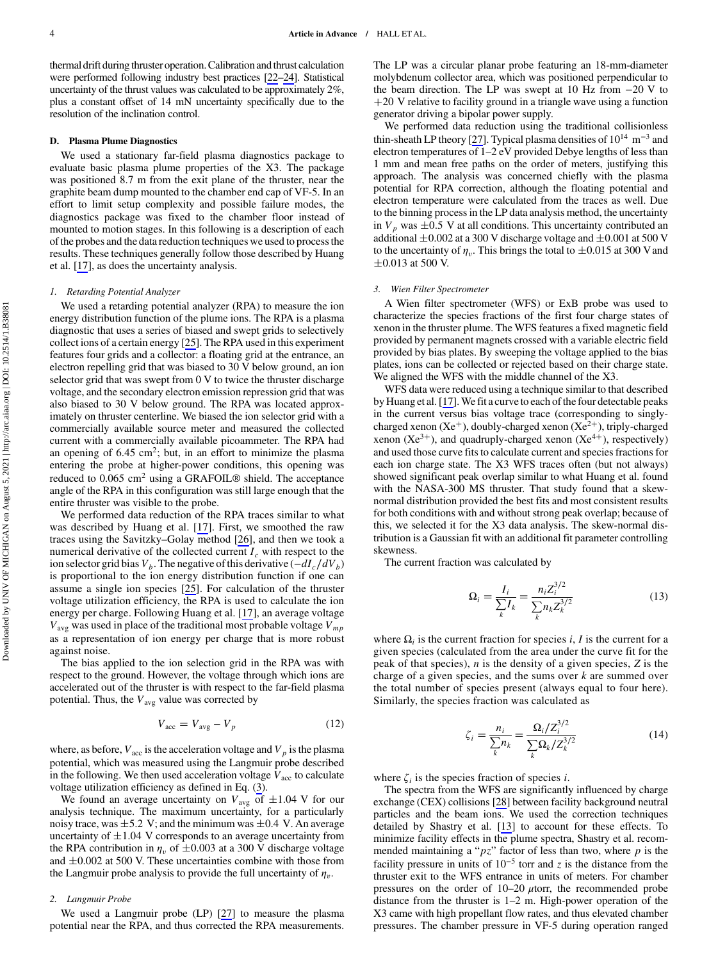thermal drift during thruster operation. Calibration and thrust calculation were performed following industry best practices [\[22](#page-12-0)–[24\]](#page-13-0). Statistical uncertainty of the thrust values was calculated to be approximately 2%, plus a constant offset of 14 mN uncertainty specifically due to the resolution of the inclination control.

# D. Plasma Plume Diagnostics

We used a stationary far-field plasma diagnostics package to evaluate basic plasma plume properties of the X3. The package was positioned 8.7 m from the exit plane of the thruster, near the graphite beam dump mounted to the chamber end cap of VF-5. In an effort to limit setup complexity and possible failure modes, the diagnostics package was fixed to the chamber floor instead of mounted to motion stages. In this following is a description of each of the probes and the data reduction techniques we used to process the results. These techniques generally follow those described by Huang et al. [[17\]](#page-12-0), as does the uncertainty analysis.

#### 1. Retarding Potential Analyzer

We used a retarding potential analyzer (RPA) to measure the ion energy distribution function of the plume ions. The RPA is a plasma diagnostic that uses a series of biased and swept grids to selectively collect ions of a certain energy [[25\]](#page-13-0). The RPA used in this experiment features four grids and a collector: a floating grid at the entrance, an electron repelling grid that was biased to 30 V below ground, an ion selector grid that was swept from 0 V to twice the thruster discharge voltage, and the secondary electron emission repression grid that was also biased to 30 V below ground. The RPA was located approximately on thruster centerline. We biased the ion selector grid with a commercially available source meter and measured the collected current with a commercially available picoammeter. The RPA had an opening of  $6.45 \text{ cm}^2$ ; but, in an effort to minimize the plasma entering the probe at higher-power conditions, this opening was reduced to 0.065 cm<sup>2</sup> using a GRAFOIL<sup>®</sup> shield. The acceptance angle of the RPA in this configuration was still large enough that the entire thruster was visible to the probe.

We performed data reduction of the RPA traces similar to what was described by Huang et al. [[17\]](#page-12-0). First, we smoothed the raw traces using the Savitzky–Golay method [[26\]](#page-13-0), and then we took a numerical derivative of the collected current  $I_c$  with respect to the ion selector grid bias  $V_b$ . The negative of this derivative ( $-dI_c/dV_b$ ) is proportional to the ion energy distribution function if one can assume a single ion species [[25\]](#page-13-0). For calculation of the thruster voltage utilization efficiency, the RPA is used to calculate the ion energy per charge. Following Huang et al. [[17](#page-12-0)], an average voltage  $V_{\text{avg}}$  was used in place of the traditional most probable voltage  $V_{mp}$ as a representation of ion energy per charge that is more robust against noise.

The bias applied to the ion selection grid in the RPA was with respect to the ground. However, the voltage through which ions are accelerated out of the thruster is with respect to the far-field plasma potential. Thus, the  $V_{\text{avg}}$  value was corrected by

$$
V_{\text{acc}} = V_{\text{avg}} - V_p \tag{12}
$$

where, as before,  $V_{\text{acc}}$  is the acceleration voltage and  $V_p$  is the plasma potential, which was measured using the Langmuir probe described in the following. We then used acceleration voltage  $V_{\text{acc}}$  to calculate voltage utilization efficiency as defined in Eq. ([3](#page-1-0)).

We found an average uncertainty on  $V_{\text{avg}}$  of  $\pm 1.04$  V for our analysis technique. The maximum uncertainty, for a particularly noisy trace, was  $\pm 5.2$  V; and the minimum was  $\pm 0.4$  V. An average uncertainty of  $\pm 1.04$  V corresponds to an average uncertainty from the RPA contribution in  $\eta_v$  of  $\pm 0.003$  at a 300 V discharge voltage and  $\pm 0.002$  at 500 V. These uncertainties combine with those from the Langmuir probe analysis to provide the full uncertainty of  $\eta_v$ .

#### 2. Langmuir Probe

We used a Langmuir probe (LP) [\[27](#page-13-0)] to measure the plasma potential near the RPA, and thus corrected the RPA measurements.

The LP was a circular planar probe featuring an 18-mm-diameter molybdenum collector area, which was positioned perpendicular to the beam direction. The LP was swept at 10 Hz from −20 V to  $+20$  V relative to facility ground in a triangle wave using a function generator driving a bipolar power supply.

We performed data reduction using the traditional collisionless thin-sheath LP theory [[27\]](#page-13-0). Typical plasma densities of  $10^{14}$  m<sup>-3</sup> and electron temperatures of 1–2 eV provided Debye lengths of less than 1 mm and mean free paths on the order of meters, justifying this approach. The analysis was concerned chiefly with the plasma potential for RPA correction, although the floating potential and electron temperature were calculated from the traces as well. Due to the binning process in the LP data analysis method, the uncertainty in  $V_p$  was  $\pm 0.5$  V at all conditions. This uncertainty contributed an additional  $\pm 0.002$  at a 300 V discharge voltage and  $\pm 0.001$  at 500 V to the uncertainty of  $\eta_v$ . This brings the total to  $\pm 0.015$  at 300 V and  $\pm 0.013$  at 500 V.

## 3. Wien Filter Spectrometer

A Wien filter spectrometer (WFS) or ExB probe was used to characterize the species fractions of the first four charge states of xenon in the thruster plume. The WFS features a fixed magnetic field provided by permanent magnets crossed with a variable electric field provided by bias plates. By sweeping the voltage applied to the bias plates, ions can be collected or rejected based on their charge state. We aligned the WFS with the middle channel of the X3.

WFS data were reduced using a technique similar to that described by Huang et al. [\[17](#page-12-0)].We fit a curve to each of the four detectable peaks in the current versus bias voltage trace (corresponding to singlycharged xenon (Xe<sup>+</sup>), doubly-charged xenon (Xe<sup>2+</sup>), triply-charged xenon  $(Xe^{3+})$ , and quadruply-charged xenon  $(Xe^{4+})$ , respectively) and used those curve fits to calculate current and species fractions for each ion charge state. The X3 WFS traces often (but not always) showed significant peak overlap similar to what Huang et al. found with the NASA-300 MS thruster. That study found that a skewnormal distribution provided the best fits and most consistent results for both conditions with and without strong peak overlap; because of this, we selected it for the X3 data analysis. The skew-normal distribution is a Gaussian fit with an additional fit parameter controlling skewness.

The current fraction was calculated by

$$
\Omega_i = \frac{I_i}{\sum_k I_k} = \frac{n_i Z_i^{3/2}}{\sum_k n_k Z_k^{3/2}}
$$
(13)

where  $\Omega_i$  is the current fraction for species i, I is the current for a given species (calculated from the area under the curve fit for the peak of that species),  $n$  is the density of a given species,  $Z$  is the charge of a given species, and the sums over  $k$  are summed over the total number of species present (always equal to four here). Similarly, the species fraction was calculated as

$$
\zeta_i = \frac{n_i}{\sum_k n_k} = \frac{\Omega_i / Z_i^{3/2}}{\sum_k \Omega_k / Z_k^{3/2}}
$$
(14)

where  $\zeta_i$  is the species fraction of species *i*.

The spectra from the WFS are significantly influenced by charge exchange (CEX) collisions [\[28](#page-13-0)] between facility background neutral particles and the beam ions. We used the correction techniques detailed by Shastry et al. [\[13](#page-12-0)] to account for these effects. To minimize facility effects in the plume spectra, Shastry et al. recommended maintaining a " $pz$ " factor of less than two, where  $p$  is the facility pressure in units of  $10^{-5}$  torr and z is the distance from the thruster exit to the WFS entrance in units of meters. For chamber pressures on the order of  $10-20 \mu$ torr, the recommended probe distance from the thruster is 1–2 m. High-power operation of the X3 came with high propellant flow rates, and thus elevated chamber pressures. The chamber pressure in VF-5 during operation ranged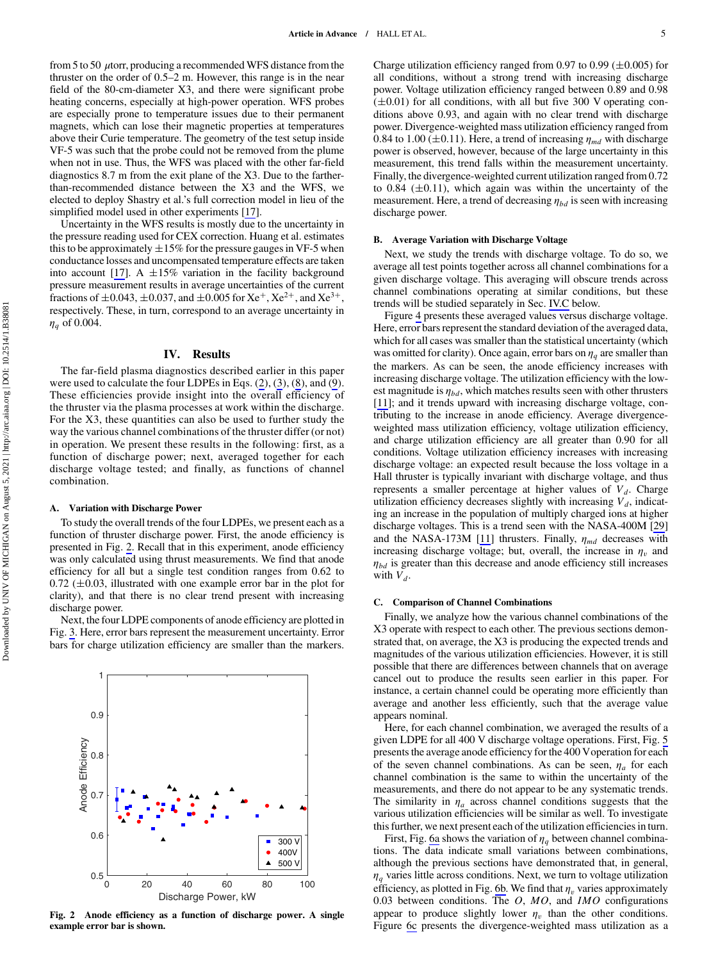<span id="page-4-0"></span>from 5 to 50  $\mu$ torr, producing a recommended WFS distance from the thruster on the order of 0.5–2 m. However, this range is in the near field of the 80-cm-diameter X3, and there were significant probe heating concerns, especially at high-power operation. WFS probes are especially prone to temperature issues due to their permanent magnets, which can lose their magnetic properties at temperatures above their Curie temperature. The geometry of the test setup inside VF-5 was such that the probe could not be removed from the plume when not in use. Thus, the WFS was placed with the other far-field diagnostics 8.7 m from the exit plane of the X3. Due to the fartherthan-recommended distance between the X3 and the WFS, we elected to deploy Shastry et al.'s full correction model in lieu of the simplified model used in other experiments [[17\]](#page-12-0).

Uncertainty in the WFS results is mostly due to the uncertainty in the pressure reading used for CEX correction. Huang et al. estimates this to be approximately  $\pm 15\%$  for the pressure gauges in VF-5 when conductance losses and uncompensated temperature effects are taken into account [[17\]](#page-12-0). A  $\pm 15\%$  variation in the facility background pressure measurement results in average uncertainties of the current fractions of  $\pm 0.043$ ,  $\pm 0.037$ , and  $\pm 0.005$  for Xe<sup>+</sup>, Xe<sup>2+</sup>, and Xe<sup>3+</sup>, respectively. These, in turn, correspond to an average uncertainty in  $\eta_a$  of 0.004.

#### IV. Results

The far-field plasma diagnostics described earlier in this paper were used to calculate the four LDPEs in Eqs. ([2](#page-1-0)), ([3](#page-1-0)), ([8](#page-1-0)), and ([9](#page-1-0)). These efficiencies provide insight into the overall efficiency of the thruster via the plasma processes at work within the discharge. For the X3, these quantities can also be used to further study the way the various channel combinations of the thruster differ (or not) in operation. We present these results in the following: first, as a function of discharge power; next, averaged together for each discharge voltage tested; and finally, as functions of channel combination.

#### A. Variation with Discharge Power

To study the overall trends of the four LDPEs, we present each as a function of thruster discharge power. First, the anode efficiency is presented in Fig. 2. Recall that in this experiment, anode efficiency was only calculated using thrust measurements. We find that anode efficiency for all but a single test condition ranges from 0.62 to  $0.72$  ( $\pm 0.03$ , illustrated with one example error bar in the plot for clarity), and that there is no clear trend present with increasing discharge power.

Next, the four LDPE components of anode efficiency are plotted in Fig. [3](#page-5-0). Here, error bars represent the measurement uncertainty. Error bars for charge utilization efficiency are smaller than the markers.



Fig. 2 Anode efficiency as a function of discharge power. A single example error bar is shown.

Charge utilization efficiency ranged from 0.97 to 0.99 ( $\pm$ 0.005) for all conditions, without a strong trend with increasing discharge power. Voltage utilization efficiency ranged between 0.89 and 0.98  $(\pm 0.01)$  for all conditions, with all but five 300 V operating conditions above 0.93, and again with no clear trend with discharge power. Divergence-weighted mass utilization efficiency ranged from 0.84 to 1.00 ( $\pm$ 0.11). Here, a trend of increasing  $\eta_{md}$  with discharge power is observed, however, because of the large uncertainty in this measurement, this trend falls within the measurement uncertainty. Finally, the divergence-weighted current utilization ranged from 0.72 to 0.84 ( $\pm$ 0.11), which again was within the uncertainty of the measurement. Here, a trend of decreasing  $\eta_{bd}$  is seen with increasing discharge power.

## B. Average Variation with Discharge Voltage

Next, we study the trends with discharge voltage. To do so, we average all test points together across all channel combinations for a given discharge voltage. This averaging will obscure trends across channel combinations operating at similar conditions, but these trends will be studied separately in Sec. IV.C below.

Figure [4](#page-5-0) presents these averaged values versus discharge voltage. Here, error bars represent the standard deviation of the averaged data, which for all cases was smaller than the statistical uncertainty (which was omitted for clarity). Once again, error bars on  $\eta_q$  are smaller than the markers. As can be seen, the anode efficiency increases with increasing discharge voltage. The utilization efficiency with the lowest magnitude is  $\eta_{bd}$ , which matches results seen with other thrusters [\[11](#page-12-0)]; and it trends upward with increasing discharge voltage, contributing to the increase in anode efficiency. Average divergenceweighted mass utilization efficiency, voltage utilization efficiency, and charge utilization efficiency are all greater than 0.90 for all conditions. Voltage utilization efficiency increases with increasing discharge voltage: an expected result because the loss voltage in a Hall thruster is typically invariant with discharge voltage, and thus represents a smaller percentage at higher values of  $V<sub>d</sub>$ . Charge utilization efficiency decreases slightly with increasing  $V<sub>d</sub>$ , indicating an increase in the population of multiply charged ions at higher discharge voltages. This is a trend seen with the NASA-400M [[29\]](#page-13-0) and the NASA-173M [\[11\]](#page-12-0) thrusters. Finally,  $\eta_{md}$  decreases with increasing discharge voltage; but, overall, the increase in  $\eta_v$  and  $\eta_{bd}$  is greater than this decrease and anode efficiency still increases with  $V_d$ .

## C. Comparison of Channel Combinations

Finally, we analyze how the various channel combinations of the X3 operate with respect to each other. The previous sections demonstrated that, on average, the X3 is producing the expected trends and magnitudes of the various utilization efficiencies. However, it is still possible that there are differences between channels that on average cancel out to produce the results seen earlier in this paper. For instance, a certain channel could be operating more efficiently than average and another less efficiently, such that the average value appears nominal.

Here, for each channel combination, we averaged the results of a given LDPE for all 400 V discharge voltage operations. First, Fig. [5](#page-5-0) presents the average anode efficiency for the 400 Voperation for each of the seven channel combinations. As can be seen,  $\eta_a$  for each channel combination is the same to within the uncertainty of the measurements, and there do not appear to be any systematic trends. The similarity in  $\eta_a$  across channel conditions suggests that the various utilization efficiencies will be similar as well. To investigate this further, we next present each of the utilization efficiencies in turn.

First, Fig. [6a](#page-6-0) shows the variation of  $n_q$  between channel combinations. The data indicate small variations between combinations, although the previous sections have demonstrated that, in general,  $\eta_a$  varies little across conditions. Next, we turn to voltage utilization efficiency, as plotted in Fig. [6b](#page-6-0). We find that  $\eta_v$  varies approximately 0.03 between conditions. The  $O$ ,  $MO$ , and  $IMO$  configurations appear to produce slightly lower  $\eta_v$  than the other conditions. Figure [6c](#page-6-0) presents the divergence-weighted mass utilization as a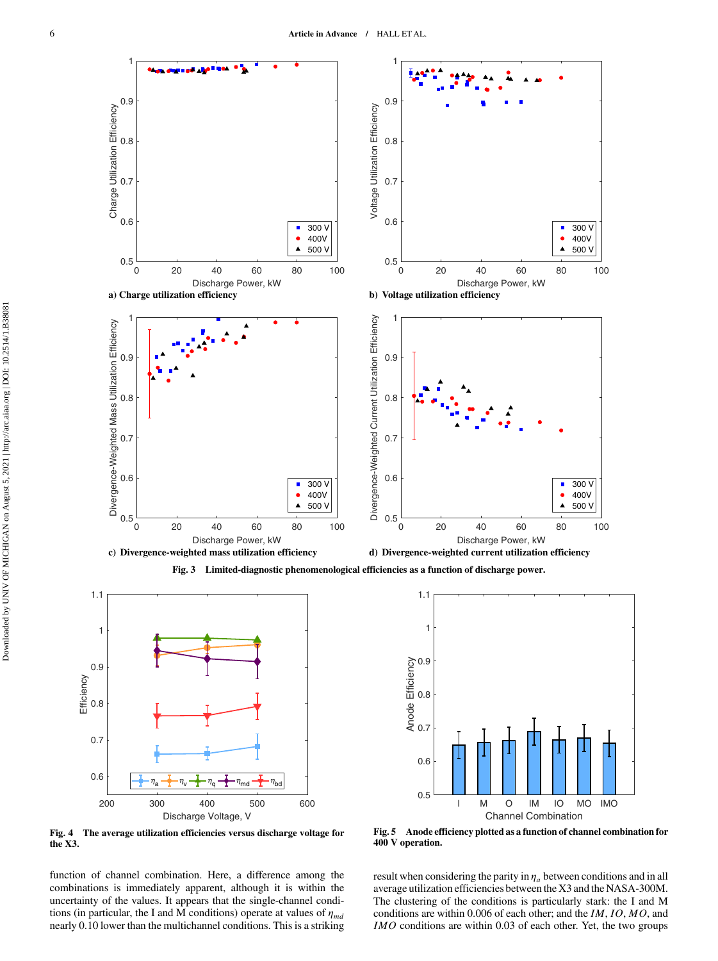<span id="page-5-0"></span>



Fig. 4 The average utilization efficiencies versus discharge voltage for the X3.

function of channel combination. Here, a difference among the combinations is immediately apparent, although it is within the uncertainty of the values. It appears that the single-channel conditions (in particular, the I and M conditions) operate at values of  $\eta_{md}$ nearly 0.10 lower than the multichannel conditions. This is a striking



Fig. 5 Anode efficiency plotted as a function of channel combination for 400 V operation.

result when considering the parity in  $\eta_a$  between conditions and in all average utilization efficiencies between the X3 and the NASA-300M. The clustering of the conditions is particularly stark: the I and M conditions are within 0.006 of each other; and the IM, IO, MO, and IMO conditions are within 0.03 of each other. Yet, the two groups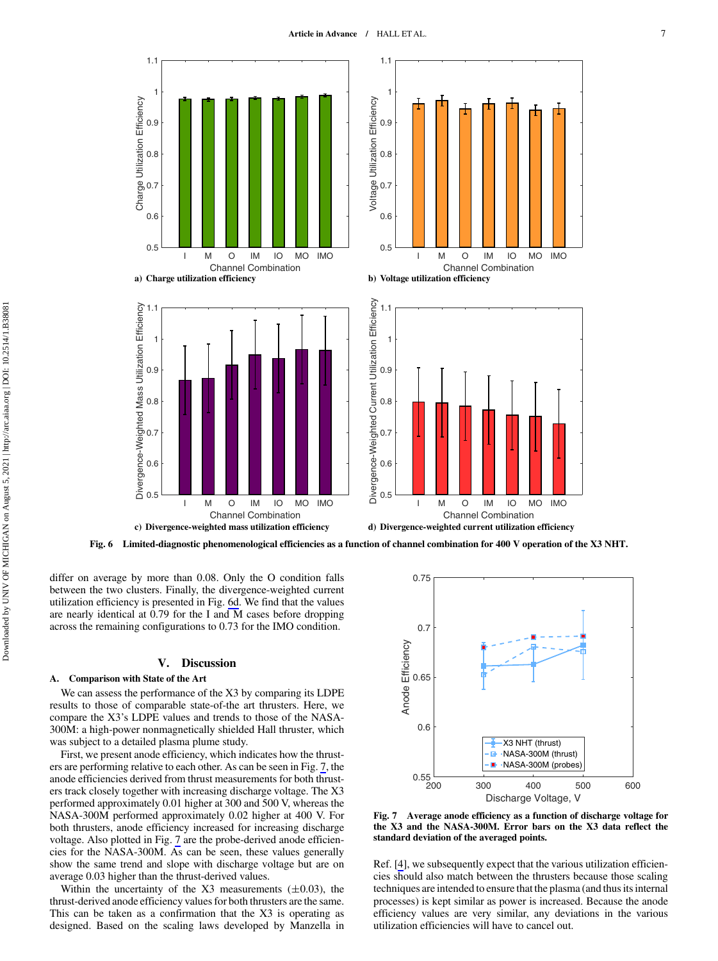<span id="page-6-0"></span>

Fig. 6 Limited-diagnostic phenomenological efficiencies as a function of channel combination for 400 V operation of the X3 NHT.

differ on average by more than 0.08. Only the O condition falls between the two clusters. Finally, the divergence-weighted current utilization efficiency is presented in Fig. 6d. We find that the values are nearly identical at 0.79 for the I and M cases before dropping across the remaining configurations to 0.73 for the IMO condition.

## V. Discussion

# A. Comparison with State of the Art

We can assess the performance of the X3 by comparing its LDPE results to those of comparable state-of-the art thrusters. Here, we compare the X3's LDPE values and trends to those of the NASA-300M: a high-power nonmagnetically shielded Hall thruster, which was subject to a detailed plasma plume study.

First, we present anode efficiency, which indicates how the thrusters are performing relative to each other. As can be seen in Fig. 7, the anode efficiencies derived from thrust measurements for both thrusters track closely together with increasing discharge voltage. The X3 performed approximately 0.01 higher at 300 and 500 V, whereas the NASA-300M performed approximately 0.02 higher at 400 V. For both thrusters, anode efficiency increased for increasing discharge voltage. Also plotted in Fig. 7 are the probe-derived anode efficiencies for the NASA-300M. As can be seen, these values generally show the same trend and slope with discharge voltage but are on average 0.03 higher than the thrust-derived values.

Within the uncertainty of the X3 measurements  $(\pm 0.03)$ , the thrust-derived anode efficiency values for both thrusters are the same. This can be taken as a confirmation that the X3 is operating as designed. Based on the scaling laws developed by Manzella in



Fig. 7 Average anode efficiency as a function of discharge voltage for the X3 and the NASA-300M. Error bars on the X3 data reflect the standard deviation of the averaged points.

Ref. [\[4\]](#page-12-0), we subsequently expect that the various utilization efficiencies should also match between the thrusters because those scaling techniques are intended to ensure that the plasma (and thus its internal processes) is kept similar as power is increased. Because the anode efficiency values are very similar, any deviations in the various utilization efficiencies will have to cancel out.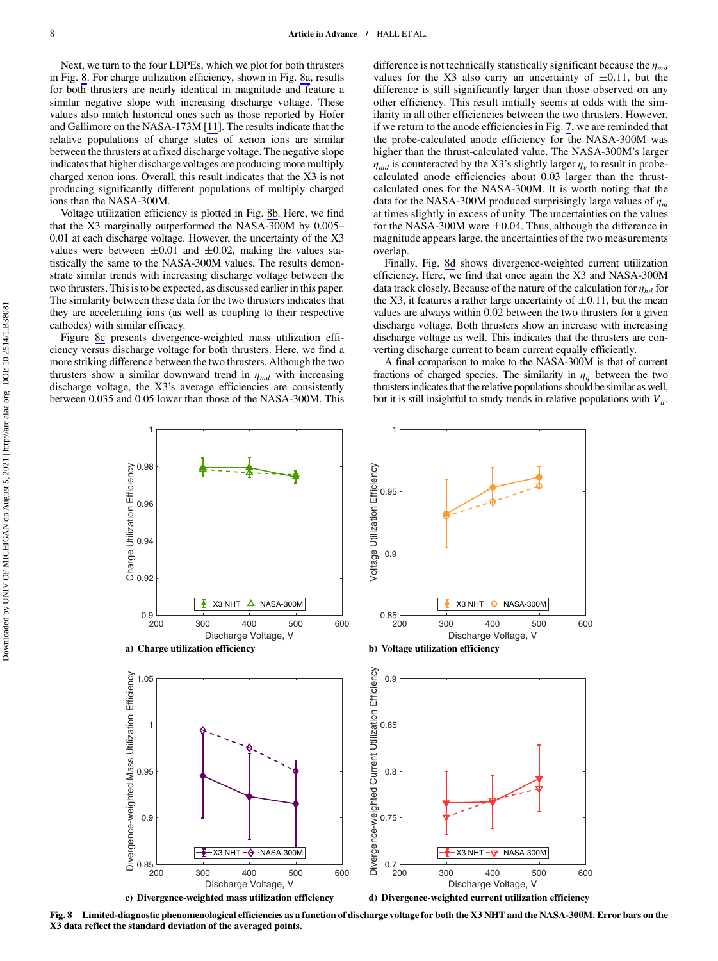<span id="page-7-0"></span>Next, we turn to the four LDPEs, which we plot for both thrusters in Fig. 8. For charge utilization efficiency, shown in Fig. 8a, results for both thrusters are nearly identical in magnitude and feature a similar negative slope with increasing discharge voltage. These values also match historical ones such as those reported by Hofer and Gallimore on the NASA-173M [[11\]](#page-12-0). The results indicate that the relative populations of charge states of xenon ions are similar between the thrusters at a fixed discharge voltage. The negative slope indicates that higher discharge voltages are producing more multiply charged xenon ions. Overall, this result indicates that the X3 is not producing significantly different populations of multiply charged ions than the NASA-300M.

Voltage utilization efficiency is plotted in Fig. 8b. Here, we find that the X3 marginally outperformed the NASA-300M by 0.005– 0.01 at each discharge voltage. However, the uncertainty of the X3 values were between  $\pm 0.01$  and  $\pm 0.02$ , making the values statistically the same to the NASA-300M values. The results demonstrate similar trends with increasing discharge voltage between the two thrusters. This is to be expected, as discussed earlier in this paper. The similarity between these data for the two thrusters indicates that they are accelerating ions (as well as coupling to their respective cathodes) with similar efficacy.

Figure 8c presents divergence-weighted mass utilization efficiency versus discharge voltage for both thrusters. Here, we find a more striking difference between the two thrusters. Although the two thrusters show a similar downward trend in  $\eta_{md}$  with increasing discharge voltage, the X3's average efficiencies are consistently between 0.035 and 0.05 lower than those of the NASA-300M. This

difference is not technically statistically significant because the  $\eta_{md}$ values for the X3 also carry an uncertainty of  $\pm 0.11$ , but the difference is still significantly larger than those observed on any other efficiency. This result initially seems at odds with the similarity in all other efficiencies between the two thrusters. However, if we return to the anode efficiencies in Fig. [7,](#page-6-0) we are reminded that the probe-calculated anode efficiency for the NASA-300M was higher than the thrust-calculated value. The NASA-300M's larger  $\eta_{md}$  is counteracted by the X3's slightly larger  $\eta_v$  to result in probecalculated anode efficiencies about 0.03 larger than the thrustcalculated ones for the NASA-300M. It is worth noting that the data for the NASA-300M produced surprisingly large values of  $\eta_m$ at times slightly in excess of unity. The uncertainties on the values for the NASA-300M were  $\pm 0.04$ . Thus, although the difference in magnitude appears large, the uncertainties of the two measurements overlap.

Finally, Fig. 8d shows divergence-weighted current utilization efficiency. Here, we find that once again the X3 and NASA-300M data track closely. Because of the nature of the calculation for  $\eta_{bd}$  for the X3, it features a rather large uncertainty of  $\pm 0.11$ , but the mean values are always within 0.02 between the two thrusters for a given discharge voltage. Both thrusters show an increase with increasing discharge voltage as well. This indicates that the thrusters are converting discharge current to beam current equally efficiently.

A final comparison to make to the NASA-300M is that of current fractions of charged species. The similarity in  $\eta_q$  between the two thrusters indicates that the relative populations should be similar as well, but it is still insightful to study trends in relative populations with  $V<sub>d</sub>$ .



Fig. 8 Limited-diagnostic phenomenological efficiencies as a function of discharge voltage for both the X3 NHT and the NASA-300M. Error bars on the X3 data reflect the standard deviation of the averaged points.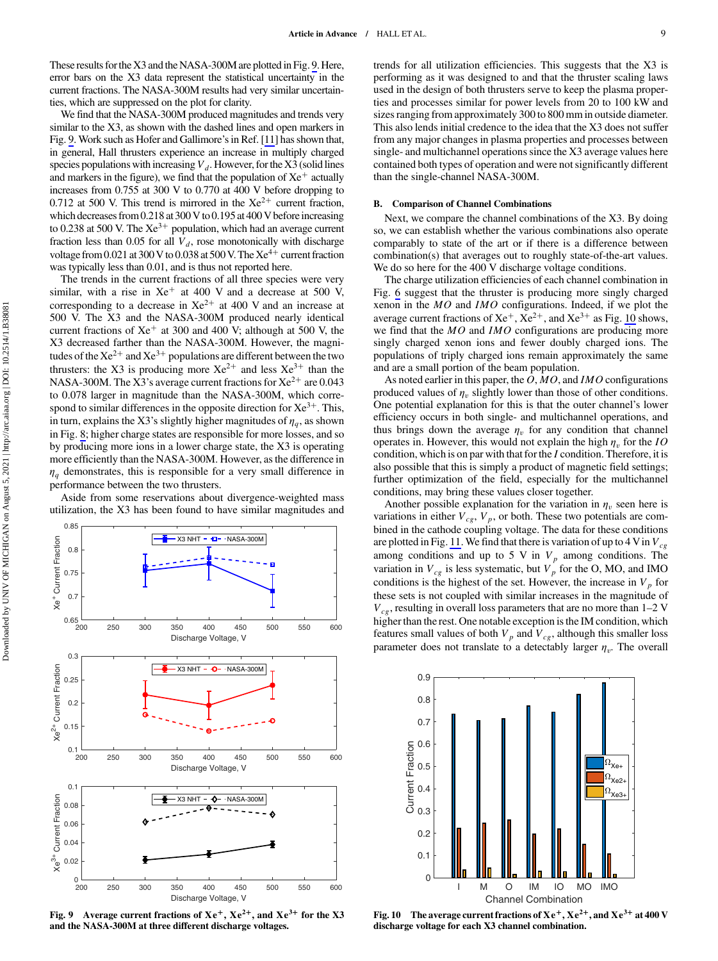These results for the X3 and the NASA-300M are plotted in Fig. 9. Here, error bars on the X3 data represent the statistical uncertainty in the current fractions. The NASA-300M results had very similar uncertainties, which are suppressed on the plot for clarity.

We find that the NASA-300M produced magnitudes and trends very similar to the X3, as shown with the dashed lines and open markers in Fig. 9. Work such as Hofer and Gallimore's in Ref. [\[11](#page-12-0)] has shown that, in general, Hall thrusters experience an increase in multiply charged species populations with increasing  $V_d$ . However, for the X3 (solid lines and markers in the figure), we find that the population of  $Xe^+$  actually increases from 0.755 at 300 V to 0.770 at 400 V before dropping to 0.712 at 500 V. This trend is mirrored in the  $Xe^{2+}$  current fraction, which decreases from 0.218 at 300 V to 0.195 at 400 V before increasing to 0.238 at 500 V. The  $Xe^{3+}$  population, which had an average current fraction less than 0.05 for all  $V<sub>d</sub>$ , rose monotonically with discharge voltage from 0.021 at 300 V to 0.038 at 500 V. The  $Xe^{4+}$  current fraction was typically less than 0.01, and is thus not reported here.

The trends in the current fractions of all three species were very similar, with a rise in  $Xe^+$  at 400 V and a decrease at 500 V, corresponding to a decrease in  $Xe^{2+}$  at 400 V and an increase at 500 V. The X3 and the NASA-300M produced nearly identical current fractions of  $Xe^+$  at 300 and 400 V; although at 500 V, the X3 decreased farther than the NASA-300M. However, the magnitudes of the  $Xe^{2+}$  and  $Xe^{3+}$  populations are different between the two thrusters: the X3 is producing more  $Xe^{2+}$  and less  $Xe^{3+}$  than the NASA-300M. The X3's average current fractions for  $Xe^{2+}$  are 0.043 to 0.078 larger in magnitude than the NASA-300M, which correspond to similar differences in the opposite direction for  $Xe^{3+}$ . This, in turn, explains the X3's slightly higher magnitudes of  $\eta_a$ , as shown in Fig. [8;](#page-7-0) higher charge states are responsible for more losses, and so by producing more ions in a lower charge state, the X3 is operating more efficiently than the NASA-300M. However, as the difference in  $\eta_a$  demonstrates, this is responsible for a very small difference in performance between the two thrusters.

Aside from some reservations about divergence-weighted mass utilization, the X3 has been found to have similar magnitudes and



Fig. 9 Average current fractions of  $Xe^+, Xe^{2+}$ , and  $Xe^{3+}$  for the X3 and the NASA-300M at three different discharge voltages.

trends for all utilization efficiencies. This suggests that the X3 is performing as it was designed to and that the thruster scaling laws used in the design of both thrusters serve to keep the plasma properties and processes similar for power levels from 20 to 100 kW and sizes ranging from approximately 300 to 800 mm in outside diameter. This also lends initial credence to the idea that the X3 does not suffer from any major changes in plasma properties and processes between single- and multichannel operations since the X3 average values here contained both types of operation and were not significantly different than the single-channel NASA-300M.

## B. Comparison of Channel Combinations

Next, we compare the channel combinations of the X3. By doing so, we can establish whether the various combinations also operate comparably to state of the art or if there is a difference between combination(s) that averages out to roughly state-of-the-art values. We do so here for the 400 V discharge voltage conditions.

The charge utilization efficiencies of each channel combination in Fig. [6](#page-6-0) suggest that the thruster is producing more singly charged xenon in the MO and IMO configurations. Indeed, if we plot the average current fractions of  $Xe^+$ ,  $Xe^{2+}$ , and  $Xe^{3+}$  as Fig. 10 shows, we find that the MO and IMO configurations are producing more singly charged xenon ions and fewer doubly charged ions. The populations of triply charged ions remain approximately the same and are a small portion of the beam population.

As noted earlier in this paper, the  $O$ ,  $MO$ , and  $IMO$  configurations produced values of  $\eta_v$  slightly lower than those of other conditions. One potential explanation for this is that the outer channel's lower efficiency occurs in both single- and multichannel operations, and thus brings down the average  $\eta_v$  for any condition that channel operates in. However, this would not explain the high  $\eta_v$  for the *IO* condition, which is on par with that for the I condition. Therefore, it is also possible that this is simply a product of magnetic field settings; further optimization of the field, especially for the multichannel conditions, may bring these values closer together.

Another possible explanation for the variation in  $\eta_v$  seen here is variations in either  $V_{cg}$ ,  $V_p$ , or both. These two potentials are combined in the cathode coupling voltage. The data for these conditions are plotted in Fig. [11.](#page-9-0) We find that there is variation of up to 4 V in  $V_{ce}$ among conditions and up to 5 V in  $V_p$  among conditions. The variation in  $V_{cg}$  is less systematic, but  $V_p$  for the O, MO, and IMO conditions is the highest of the set. However, the increase in  $V_p$  for these sets is not coupled with similar increases in the magnitude of  $V_{cg}$ , resulting in overall loss parameters that are no more than 1–2 V higher than the rest. One notable exception is the IM condition, which features small values of both  $V_p$  and  $V_{cg}$ , although this smaller loss parameter does not translate to a detectably larger  $\eta_v$ . The overall

I M O IM IO MO IMO Channel Combination  $\Omega$ 0.1 0.2 0.3 0.4 0.5 0.6 0.7 0.8 0.9 Current Fraction  $\Omega_{\mathsf{Xe+}}$  $\Omega_{\mathsf{Xe2+}}$  $\Omega_{\mathsf{Xe3+}}$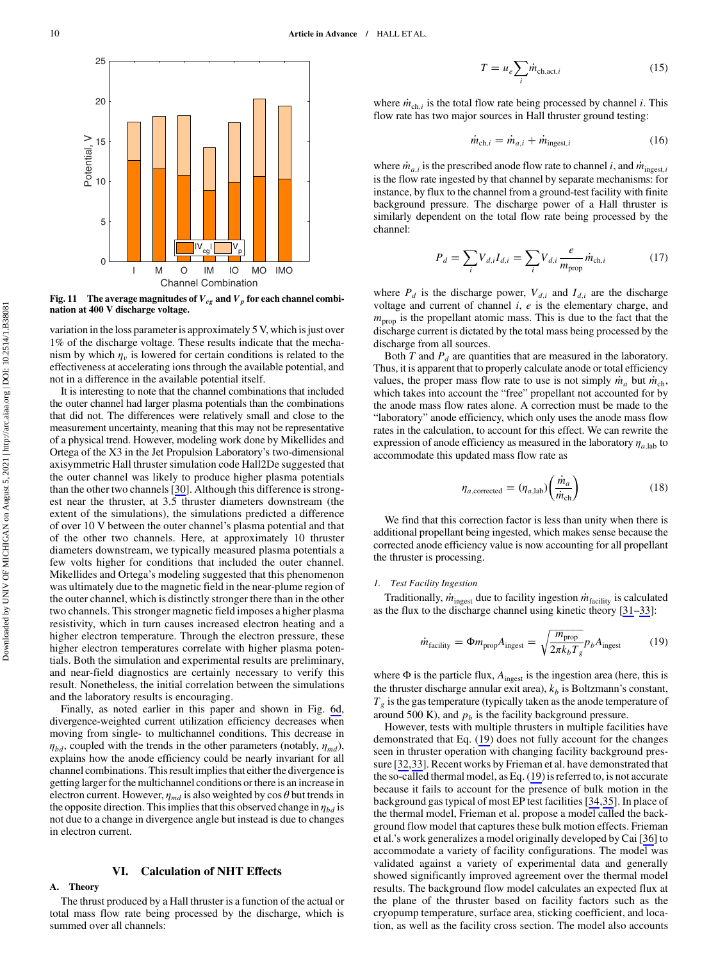<span id="page-9-0"></span>

Fig. 11 The average magnitudes of  $V_{cg}$  and  $V_p$  for each channel combination at 400 V discharge voltage.

variation in the loss parameter is approximately 5 V, which is just over 1% of the discharge voltage. These results indicate that the mechanism by which  $\eta_v$  is lowered for certain conditions is related to the effectiveness at accelerating ions through the available potential, and not in a difference in the available potential itself.

It is interesting to note that the channel combinations that included the outer channel had larger plasma potentials than the combinations that did not. The differences were relatively small and close to the measurement uncertainty, meaning that this may not be representative of a physical trend. However, modeling work done by Mikellides and Ortega of the X3 in the Jet Propulsion Laboratory's two-dimensional axisymmetric Hall thruster simulation code Hall2De suggested that the outer channel was likely to produce higher plasma potentials than the other two channels [\[30](#page-13-0)]. Although this difference is strongest near the thruster, at 3.5 thruster diameters downstream (the extent of the simulations), the simulations predicted a difference of over 10 V between the outer channel's plasma potential and that of the other two channels. Here, at approximately 10 thruster diameters downstream, we typically measured plasma potentials a few volts higher for conditions that included the outer channel. Mikellides and Ortega's modeling suggested that this phenomenon was ultimately due to the magnetic field in the near-plume region of the outer channel, which is distinctly stronger there than in the other two channels. This stronger magnetic field imposes a higher plasma resistivity, which in turn causes increased electron heating and a higher electron temperature. Through the electron pressure, these higher electron temperatures correlate with higher plasma potentials. Both the simulation and experimental results are preliminary, and near-field diagnostics are certainly necessary to verify this result. Nonetheless, the initial correlation between the simulations and the laboratory results is encouraging.

Finally, as noted earlier in this paper and shown in Fig. [6d](#page-6-0), divergence-weighted current utilization efficiency decreases when moving from single- to multichannel conditions. This decrease in  $\eta_{bd}$ , coupled with the trends in the other parameters (notably,  $\eta_{md}$ ), explains how the anode efficiency could be nearly invariant for all channel combinations. This result implies that either the divergence is getting larger for the multichannel conditions or there is an increase in electron current. However,  $\eta_{md}$  is also weighted by cos  $\theta$  but trends in the opposite direction. This implies that this observed change in  $\eta_{bd}$  is not due to a change in divergence angle but instead is due to changes in electron current.

# VI. Calculation of NHT Effects

# A. Theory

The thrust produced by a Hall thruster is a function of the actual or total mass flow rate being processed by the discharge, which is summed over all channels:

$$
T = u_e \sum_{i} \dot{m}_{\text{ch,act},i} \tag{15}
$$

where  $\dot{m}_{ch,i}$  is the total flow rate being processed by channel *i*. This flow rate has two major sources in Hall thruster ground testing:

$$
\dot{m}_{\text{ch},i} = \dot{m}_{a,i} + \dot{m}_{\text{ingest},i} \tag{16}
$$

where  $\dot{m}_{a,i}$  is the prescribed anode flow rate to channel i, and  $\dot{m}_{\text{ingest},i}$ is the flow rate ingested by that channel by separate mechanisms: for instance, by flux to the channel from a ground-test facility with finite background pressure. The discharge power of a Hall thruster is similarly dependent on the total flow rate being processed by the channel:

$$
P_d = \sum_{i} V_{d,i} I_{d,i} = \sum_{i} V_{d,i} \frac{e}{m_{\text{prop}}} \dot{m}_{\text{ch},i}
$$
(17)

where  $P_d$  is the discharge power,  $V_{d,i}$  and  $I_{d,i}$  are the discharge voltage and current of channel  $i, e$  is the elementary charge, and  $m<sub>prop</sub>$  is the propellant atomic mass. This is due to the fact that the discharge current is dictated by the total mass being processed by the discharge from all sources.

Both  $T$  and  $P_d$  are quantities that are measured in the laboratory. Thus, it is apparent that to properly calculate anode or total efficiency values, the proper mass flow rate to use is not simply  $\dot{m}_a$  but  $\dot{m}_{ch}$ , which takes into account the "free" propellant not accounted for by the anode mass flow rates alone. A correction must be made to the "laboratory" anode efficiency, which only uses the anode mass flow rates in the calculation, to account for this effect. We can rewrite the expression of anode efficiency as measured in the laboratory  $\eta_{a,lab}$  to accommodate this updated mass flow rate as

$$
\eta_{a,\text{corrected}} = (\eta_{a,\text{lab}}) \left( \frac{\dot{m}_a}{\dot{m}_{\text{ch}}} \right) \tag{18}
$$

We find that this correction factor is less than unity when there is additional propellant being ingested, which makes sense because the corrected anode efficiency value is now accounting for all propellant the thruster is processing.

#### 1. Test Facility Ingestion

Traditionally,  $\dot{m}_{\text{ingest}}$  due to facility ingestion  $\dot{m}_{\text{facility}}$  is calculated as the flux to the discharge channel using kinetic theory [[31](#page-13-0)–[33](#page-13-0)]:

$$
\dot{m}_{\text{facility}} = \Phi m_{\text{prop}} A_{\text{ingest}} = \sqrt{\frac{m_{\text{prop}}}{2\pi k_b T_g}} p_b A_{\text{ingest}}
$$
(19)

where  $\Phi$  is the particle flux,  $A_{\text{ingest}}$  is the ingestion area (here, this is the thruster discharge annular exit area),  $k_b$  is Boltzmann's constant,  $T_g$  is the gas temperature (typically taken as the anode temperature of around 500 K), and  $p<sub>b</sub>$  is the facility background pressure.

However, tests with multiple thrusters in multiple facilities have demonstrated that Eq. (19) does not fully account for the changes seen in thruster operation with changing facility background pressure [[32](#page-13-0),[33\]](#page-13-0). Recent works by Frieman et al. have demonstrated that the so-called thermal model, as Eq. (19) is referred to, is not accurate because it fails to account for the presence of bulk motion in the background gas typical of most EP test facilities [[34,35](#page-13-0)]. In place of the thermal model, Frieman et al. propose a model called the background flow model that captures these bulk motion effects. Frieman et al.'s work generalizes a model originally developed by Cai [[36\]](#page-13-0) to accommodate a variety of facility configurations. The model was validated against a variety of experimental data and generally showed significantly improved agreement over the thermal model results. The background flow model calculates an expected flux at the plane of the thruster based on facility factors such as the cryopump temperature, surface area, sticking coefficient, and location, as well as the facility cross section. The model also accounts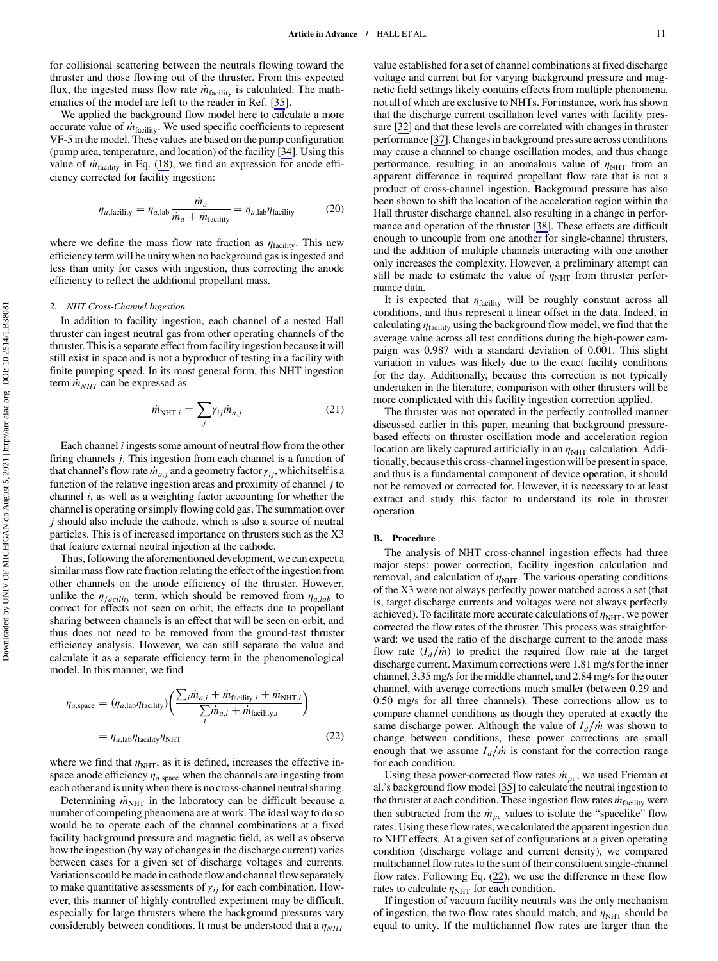for collisional scattering between the neutrals flowing toward the thruster and those flowing out of the thruster. From this expected flux, the ingested mass flow rate  $\dot{m}_{\text{facility}}$  is calculated. The mathematics of the model are left to the reader in Ref. [\[35](#page-13-0)].

We applied the background flow model here to calculate a more accurate value of  $\dot{m}_{\rm facility}$ . We used specific coefficients to represent VF-5 in the model. These values are based on the pump configuration (pump area, temperature, and location) of the facility [[34\]](#page-13-0). Using this value of  $\dot{m}_{\text{facility}}$  in Eq. ([18\)](#page-9-0), we find an expression for anode efficiency corrected for facility ingestion:

$$
\eta_{a,\text{facility}} = \eta_{a,\text{lab}} \frac{\dot{m}_a}{\dot{m}_a + \dot{m}_{\text{facility}}} = \eta_{a,\text{lab}} \eta_{\text{facility}} \tag{20}
$$

where we define the mass flow rate fraction as  $\eta_{\text{facility}}$ . This new efficiency term will be unity when no background gas is ingested and less than unity for cases with ingestion, thus correcting the anode efficiency to reflect the additional propellant mass.

#### 2. NHT Cross-Channel Ingestion

In addition to facility ingestion, each channel of a nested Hall thruster can ingest neutral gas from other operating channels of the thruster. This is a separate effect from facility ingestion because it will still exist in space and is not a byproduct of testing in a facility with finite pumping speed. In its most general form, this NHT ingestion term  $\dot{m}_{NHT}$  can be expressed as

$$
\dot{m}_{\text{NHT},i} = \sum_{j} \gamma_{ij} \dot{m}_{a,j} \tag{21}
$$

Each channel *i* ingests some amount of neutral flow from the other firing channels j. This ingestion from each channel is a function of that channel's flow rate  $\dot{m}_{a,j}$  and a geometry factor  $\gamma_{ij}$ , which itself is a function of the relative ingestion areas and proximity of channel  $j$  to channel  $i$ , as well as a weighting factor accounting for whether the channel is operating or simply flowing cold gas. The summation over  $j$  should also include the cathode, which is also a source of neutral particles. This is of increased importance on thrusters such as the X3 that feature external neutral injection at the cathode.

Thus, following the aforementioned development, we can expect a similar mass flow rate fraction relating the effect of the ingestion from other channels on the anode efficiency of the thruster. However, unlike the  $\eta_{facility}$  term, which should be removed from  $\eta_{a,lab}$  to correct for effects not seen on orbit, the effects due to propellant sharing between channels is an effect that will be seen on orbit, and thus does not need to be removed from the ground-test thruster efficiency analysis. However, we can still separate the value and calculate it as a separate efficiency term in the phenomenological model. In this manner, we find

$$
\eta_{a,\text{space}} = (\eta_{a,\text{lab}} \eta_{\text{facility}}) \left( \frac{\sum_{i} \dot{m}_{a,i} + \dot{m}_{\text{facility},i} + \dot{m}_{\text{NHT},i}}{\sum_{i} \dot{m}_{a,i} + \dot{m}_{\text{facility},i}} \right)
$$
  
=  $\eta_{a,\text{lab}} \eta_{\text{facility}} \eta_{\text{NHT}}$  (22)

where we find that  $\eta_{\text{NHT}}$ , as it is defined, increases the effective inspace anode efficiency  $\eta_{a,\text{space}}$  when the channels are ingesting from each other and is unity when there is no cross-channel neutral sharing.

Determining  $\dot{m}_{\text{NHT}}$  in the laboratory can be difficult because a number of competing phenomena are at work. The ideal way to do so would be to operate each of the channel combinations at a fixed facility background pressure and magnetic field, as well as observe how the ingestion (by way of changes in the discharge current) varies between cases for a given set of discharge voltages and currents. Variations could be made in cathode flow and channel flow separately to make quantitative assessments of  $\gamma_{ij}$  for each combination. However, this manner of highly controlled experiment may be difficult, especially for large thrusters where the background pressures vary considerably between conditions. It must be understood that a  $\eta_{NHT}$ 

value established for a set of channel combinations at fixed discharge voltage and current but for varying background pressure and magnetic field settings likely contains effects from multiple phenomena, not all of which are exclusive to NHTs. For instance, work has shown that the discharge current oscillation level varies with facility pressure [\[32](#page-13-0)] and that these levels are correlated with changes in thruster performance [\[37](#page-13-0)]. Changes in background pressure across conditions may cause a channel to change oscillation modes, and thus change performance, resulting in an anomalous value of  $\eta_{\text{NHT}}$  from an apparent difference in required propellant flow rate that is not a product of cross-channel ingestion. Background pressure has also been shown to shift the location of the acceleration region within the Hall thruster discharge channel, also resulting in a change in performance and operation of the thruster [\[38](#page-13-0)]. These effects are difficult enough to uncouple from one another for single-channel thrusters, and the addition of multiple channels interacting with one another only increases the complexity. However, a preliminary attempt can still be made to estimate the value of  $\eta_{\text{NHT}}$  from thruster performance data.

It is expected that  $\eta_{\text{facility}}$  will be roughly constant across all conditions, and thus represent a linear offset in the data. Indeed, in calculating  $\eta_{\text{facility}}$  using the background flow model, we find that the average value across all test conditions during the high-power campaign was 0.987 with a standard deviation of 0.001. This slight variation in values was likely due to the exact facility conditions for the day. Additionally, because this correction is not typically undertaken in the literature, comparison with other thrusters will be more complicated with this facility ingestion correction applied.

The thruster was not operated in the perfectly controlled manner discussed earlier in this paper, meaning that background pressurebased effects on thruster oscillation mode and acceleration region location are likely captured artificially in an  $\eta<sub>NHT</sub>$  calculation. Additionally, because this cross-channel ingestion will be present in space, and thus is a fundamental component of device operation, it should not be removed or corrected for. However, it is necessary to at least extract and study this factor to understand its role in thruster operation.

#### B. Procedure

The analysis of NHT cross-channel ingestion effects had three major steps: power correction, facility ingestion calculation and removal, and calculation of  $\eta_{\text{NHT}}$ . The various operating conditions of the X3 were not always perfectly power matched across a set (that is, target discharge currents and voltages were not always perfectly achieved). To facilitate more accurate calculations of  $\eta_{\text{NHT}}$ , we power corrected the flow rates of the thruster. This process was straightforward: we used the ratio of the discharge current to the anode mass flow rate  $(I_d/m)$  to predict the required flow rate at the target discharge current. Maximum corrections were 1.81 mg/s for the inner channel, 3.35 mg/s for the middle channel, and 2.84 mg/s for the outer channel, with average corrections much smaller (between 0.29 and 0.50 mg/s for all three channels). These corrections allow us to compare channel conditions as though they operated at exactly the same discharge power. Although the value of  $I_d/m$  was shown to change between conditions, these power corrections are small enough that we assume  $I_d/m$  is constant for the correction range for each condition.

Using these power-corrected flow rates  $\dot{m}_{pc}$ , we used Frieman et al.'s background flow model [[35\]](#page-13-0) to calculate the neutral ingestion to the thruster at each condition. These ingestion flow rates  $\dot{m}_{\rm facility}$  were then subtracted from the  $\dot{m}_{pc}$  values to isolate the "spacelike" flow rates. Using these flow rates, we calculated the apparent ingestion due to NHT effects. At a given set of configurations at a given operating condition (discharge voltage and current density), we compared multichannel flow rates to the sum of their constituent single-channel flow rates. Following Eq. (22), we use the difference in these flow rates to calculate  $\eta_{\text{NHT}}$  for each condition.

If ingestion of vacuum facility neutrals was the only mechanism of ingestion, the two flow rates should match, and  $\eta_{\text{NHT}}$  should be equal to unity. If the multichannel flow rates are larger than the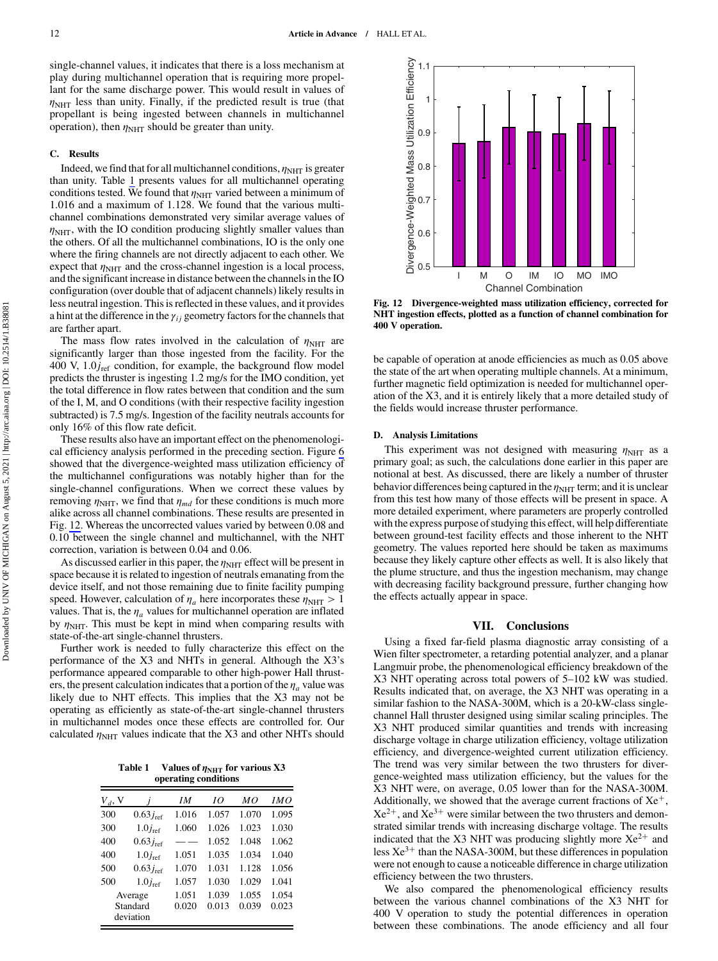single-channel values, it indicates that there is a loss mechanism at play during multichannel operation that is requiring more propellant for the same discharge power. This would result in values of  $\eta_{\text{NHT}}$  less than unity. Finally, if the predicted result is true (that propellant is being ingested between channels in multichannel operation), then  $\eta_{\text{NHT}}$  should be greater than unity.

#### C. Results

Indeed, we find that for all multichannel conditions,  $\eta_{\text{NHT}}$  is greater than unity. Table 1 presents values for all multichannel operating conditions tested. We found that  $\eta_{\text{NHT}}$  varied between a minimum of 1.016 and a maximum of 1.128. We found that the various multichannel combinations demonstrated very similar average values of  $\eta_{\text{NHT}}$ , with the IO condition producing slightly smaller values than the others. Of all the multichannel combinations, IO is the only one where the firing channels are not directly adjacent to each other. We expect that  $\eta_{\text{NHT}}$  and the cross-channel ingestion is a local process, and the significant increase in distance between the channels in the IO configuration (over double that of adjacent channels) likely results in less neutral ingestion. This is reflected in these values, and it provides a hint at the difference in the  $\gamma_{ij}$  geometry factors for the channels that are farther apart.

The mass flow rates involved in the calculation of  $\eta_{\text{NHT}}$  are significantly larger than those ingested from the facility. For the 400 V,  $1.0j_{\text{ref}}$  condition, for example, the background flow model predicts the thruster is ingesting 1.2 mg/s for the IMO condition, yet the total difference in flow rates between that condition and the sum of the I, M, and O conditions (with their respective facility ingestion subtracted) is 7.5 mg/s. Ingestion of the facility neutrals accounts for only 16% of this flow rate deficit.

These results also have an important effect on the phenomenological efficiency analysis performed in the preceding section. Figure [6](#page-6-0) showed that the divergence-weighted mass utilization efficiency of the multichannel configurations was notably higher than for the single-channel configurations. When we correct these values by removing  $\eta_{\text{NHT}}$ , we find that  $\eta_{md}$  for these conditions is much more alike across all channel combinations. These results are presented in Fig. 12. Whereas the uncorrected values varied by between 0.08 and 0.10 between the single channel and multichannel, with the NHT correction, variation is between 0.04 and 0.06.

As discussed earlier in this paper, the  $\eta_{\text{NHT}}$  effect will be present in space because it is related to ingestion of neutrals emanating from the device itself, and not those remaining due to finite facility pumping speed. However, calculation of  $\eta_a$  here incorporates these  $\eta_{\text{NHT}} > 1$ values. That is, the  $\eta_a$  values for multichannel operation are inflated by  $\eta_{\text{NHT}}$ . This must be kept in mind when comparing results with state-of-the-art single-channel thrusters.

Further work is needed to fully characterize this effect on the performance of the X3 and NHTs in general. Although the X3's performance appeared comparable to other high-power Hall thrusters, the present calculation indicates that a portion of the  $\eta_a$  value was likely due to NHT effects. This implies that the X3 may not be operating as efficiently as state-of-the-art single-channel thrusters in multichannel modes once these effects are controlled for. Our calculated  $\eta_{\text{NHT}}$  values indicate that the X3 and other NHTs should

Table 1 Values of  $\eta_{\text{NHT}}$  for various X3 operating conditions

| $V_d$ , V |                     | ΙM    | 10    | MО    | IMO   |
|-----------|---------------------|-------|-------|-------|-------|
| 300       | $0.63j_{ref}$       | 1.016 | 1.057 | 1.070 | 1.095 |
| 300       | $1.0j_{ref}$        | 1.060 | 1.026 | 1.023 | 1.030 |
| 400       | $0.63j_{ref}$       |       | 1.052 | 1.048 | 1.062 |
| 400       | 1.0 <sub>lref</sub> | 1.051 | 1.035 | 1.034 | 1.040 |
| 500       | $0.63j_{ref}$       | 1.070 | 1.031 | 1.128 | 1.056 |
| 500       | 1.0 <sub>lref</sub> | 1.057 | 1.030 | 1.029 | 1.041 |
| Average   |                     | 1.051 | 1.039 | 1.055 | 1.054 |
|           | Standard            | 0.020 | 0.013 | 0.039 | 0.023 |
|           | deviation           |       |       |       |       |



Fig. 12 Divergence-weighted mass utilization efficiency, corrected for NHT ingestion effects, plotted as a function of channel combination for 400 V operation.

be capable of operation at anode efficiencies as much as 0.05 above the state of the art when operating multiple channels. At a minimum, further magnetic field optimization is needed for multichannel operation of the X3, and it is entirely likely that a more detailed study of the fields would increase thruster performance.

## D. Analysis Limitations

This experiment was not designed with measuring  $\eta_{\text{NHT}}$  as a primary goal; as such, the calculations done earlier in this paper are notional at best. As discussed, there are likely a number of thruster behavior differences being captured in the  $\eta_{\text{NHT}}$  term; and it is unclear from this test how many of those effects will be present in space. A more detailed experiment, where parameters are properly controlled with the express purpose of studying this effect, will help differentiate between ground-test facility effects and those inherent to the NHT geometry. The values reported here should be taken as maximums because they likely capture other effects as well. It is also likely that the plume structure, and thus the ingestion mechanism, may change with decreasing facility background pressure, further changing how the effects actually appear in space.

# VII. Conclusions

Using a fixed far-field plasma diagnostic array consisting of a Wien filter spectrometer, a retarding potential analyzer, and a planar Langmuir probe, the phenomenological efficiency breakdown of the X3 NHT operating across total powers of 5–102 kW was studied. Results indicated that, on average, the X3 NHT was operating in a similar fashion to the NASA-300M, which is a 20-kW-class singlechannel Hall thruster designed using similar scaling principles. The X3 NHT produced similar quantities and trends with increasing discharge voltage in charge utilization efficiency, voltage utilization efficiency, and divergence-weighted current utilization efficiency. The trend was very similar between the two thrusters for divergence-weighted mass utilization efficiency, but the values for the X3 NHT were, on average, 0.05 lower than for the NASA-300M. Additionally, we showed that the average current fractions of  $Xe^+$ ,  $Xe^{2+}$ , and  $Xe^{3+}$  were similar between the two thrusters and demonstrated similar trends with increasing discharge voltage. The results indicated that the X3 NHT was producing slightly more  $Xe^{2+}$  and less  $Xe^{3+}$  than the NASA-300M, but these differences in population were not enough to cause a noticeable difference in charge utilization efficiency between the two thrusters.

We also compared the phenomenological efficiency results between the various channel combinations of the X3 NHT for 400 V operation to study the potential differences in operation between these combinations. The anode efficiency and all four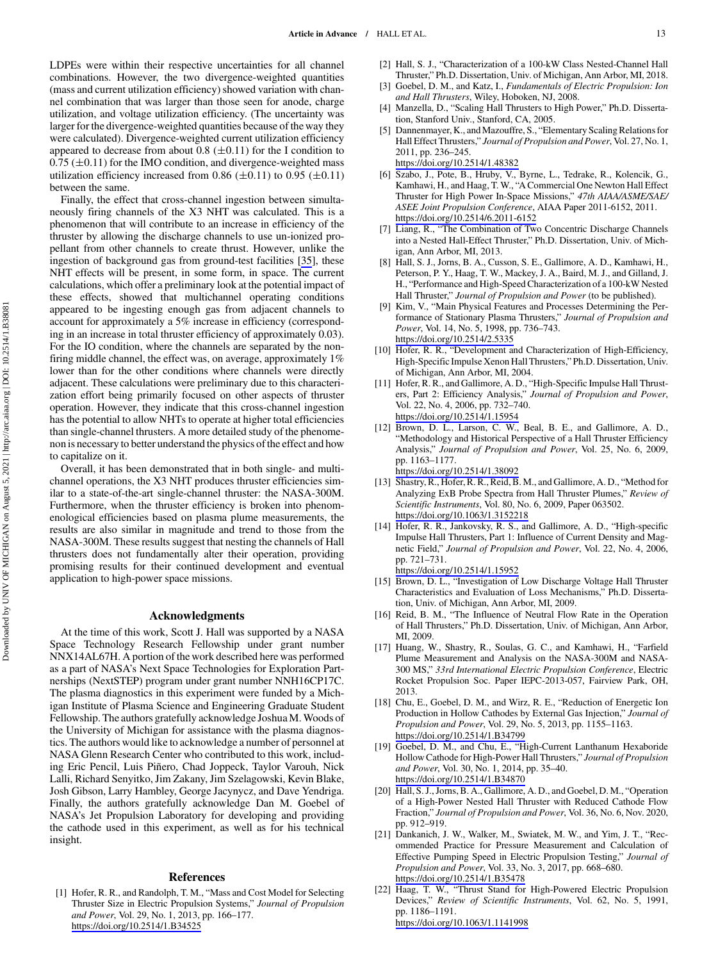<span id="page-12-0"></span>LDPEs were within their respective uncertainties for all channel combinations. However, the two divergence-weighted quantities (mass and current utilization efficiency) showed variation with channel combination that was larger than those seen for anode, charge utilization, and voltage utilization efficiency. (The uncertainty was larger for the divergence-weighted quantities because of the way they were calculated). Divergence-weighted current utilization efficiency appeared to decrease from about 0.8  $(\pm 0.11)$  for the I condition to  $0.75$  ( $\pm$ 0.11) for the IMO condition, and divergence-weighted mass utilization efficiency increased from 0.86 ( $\pm$ 0.11) to 0.95 ( $\pm$ 0.11) between the same.

Finally, the effect that cross-channel ingestion between simultaneously firing channels of the X3 NHT was calculated. This is a phenomenon that will contribute to an increase in efficiency of the thruster by allowing the discharge channels to use un-ionized propellant from other channels to create thrust. However, unlike the ingestion of background gas from ground-test facilities [\[35](#page-13-0)], these NHT effects will be present, in some form, in space. The current calculations, which offer a preliminary look at the potential impact of these effects, showed that multichannel operating conditions appeared to be ingesting enough gas from adjacent channels to account for approximately a 5% increase in efficiency (corresponding in an increase in total thruster efficiency of approximately 0.03). For the IO condition, where the channels are separated by the nonfiring middle channel, the effect was, on average, approximately 1% lower than for the other conditions where channels were directly adjacent. These calculations were preliminary due to this characterization effort being primarily focused on other aspects of thruster operation. However, they indicate that this cross-channel ingestion has the potential to allow NHTs to operate at higher total efficiencies than single-channel thrusters. A more detailed study of the phenomenon is necessary to better understand the physics of the effect and how to capitalize on it.

Overall, it has been demonstrated that in both single- and multichannel operations, the X3 NHT produces thruster efficiencies similar to a state-of-the-art single-channel thruster: the NASA-300M. Furthermore, when the thruster efficiency is broken into phenomenological efficiencies based on plasma plume measurements, the results are also similar in magnitude and trend to those from the NASA-300M. These results suggest that nesting the channels of Hall thrusters does not fundamentally alter their operation, providing promising results for their continued development and eventual application to high-power space missions.

#### Acknowledgments

At the time of this work, Scott J. Hall was supported by a NASA Space Technology Research Fellowship under grant number NNX14AL67H. A portion of the work described here was performed as a part of NASA's Next Space Technologies for Exploration Partnerships (NextSTEP) program under grant number NNH16CP17C. The plasma diagnostics in this experiment were funded by a Michigan Institute of Plasma Science and Engineering Graduate Student Fellowship. The authors gratefully acknowledge Joshua M.Woods of the University of Michigan for assistance with the plasma diagnostics. The authors would like to acknowledge a number of personnel at NASA Glenn Research Center who contributed to this work, including Eric Pencil, Luis Piñero, Chad Joppeck, Taylor Varouh, Nick Lalli, Richard Senyitko, Jim Zakany, Jim Szelagowski, Kevin Blake, Josh Gibson, Larry Hambley, George Jacynycz, and Dave Yendriga. Finally, the authors gratefully acknowledge Dan M. Goebel of NASA's Jet Propulsion Laboratory for developing and providing the cathode used in this experiment, as well as for his technical insight.

#### References

[1] Hofer, R. R., and Randolph, T. M., "Mass and Cost Model for Selecting Thruster Size in Electric Propulsion Systems," Journal of Propulsion and Power, Vol. 29, No. 1, 2013, pp. 166–177. <https://doi.org/10.2514/1.B34525>

- [2] Hall, S. J., "Characterization of a 100-kW Class Nested-Channel Hall Thruster," Ph.D. Dissertation, Univ. of Michigan, Ann Arbor, MI, 2018.
- [3] Goebel, D. M., and Katz, I., Fundamentals of Electric Propulsion: Ion and Hall Thrusters, Wiley, Hoboken, NJ, 2008.
- [4] Manzella, D., "Scaling Hall Thrusters to High Power," Ph.D. Dissertation, Stanford Univ., Stanford, CA, 2005.
- [5] Dannenmayer, K., and Mazouffre, S., "Elementary Scaling Relations for Hall Effect Thrusters," Journal of Propulsion and Power, Vol. 27, No. 1, 2011, pp. 236–245. <https://doi.org/10.2514/1.48382>
- [6] Szabo, J., Pote, B., Hruby, V., Byrne, L., Tedrake, R., Kolencik, G., Kamhawi, H., and Haag, T. W., "A Commercial One Newton Hall Effect Thruster for High Power In-Space Missions," 47th AIAA/ASME/SAE/ ASEE Joint Propulsion Conference, AIAA Paper 2011-6152, 2011. <https://doi.org/10.2514/6.2011-6152>
- [7] Liang, R., "The Combination of Two Concentric Discharge Channels into a Nested Hall-Effect Thruster," Ph.D. Dissertation, Univ. of Michigan, Ann Arbor, MI, 2013.
- [8] Hall, S. J., Jorns, B. A., Cusson, S. E., Gallimore, A. D., Kamhawi, H., Peterson, P. Y., Haag, T. W., Mackey, J. A., Baird, M. J., and Gilland, J. H., "Performance and High-Speed Characterization of a 100-kW Nested Hall Thruster," Journal of Propulsion and Power (to be published).
- [9] Kim, V., "Main Physical Features and Processes Determining the Performance of Stationary Plasma Thrusters," Journal of Propulsion and Power, Vol. 14, No. 5, 1998, pp. 736–743. <https://doi.org/10.2514/2.5335>
- [10] Hofer, R. R., "Development and Characterization of High-Efficiency, High-Specific Impulse Xenon Hall Thrusters," Ph.D. Dissertation, Univ. of Michigan, Ann Arbor, MI, 2004.
- [11] Hofer, R. R., and Gallimore, A. D., "High-Specific Impulse Hall Thrusters, Part 2: Efficiency Analysis," Journal of Propulsion and Power, Vol. 22, No. 4, 2006, pp. 732–740. <https://doi.org/10.2514/1.15954>
- [12] Brown, D. L., Larson, C. W., Beal, B. E., and Gallimore, A. D., "Methodology and Historical Perspective of a Hall Thruster Efficiency Analysis," Journal of Propulsion and Power, Vol. 25, No. 6, 2009, pp. 1163–1177. <https://doi.org/10.2514/1.38092>
- [13] Shastry, R., Hofer, R. R., Reid, B. M., and Gallimore, A. D., "Method for Analyzing ExB Probe Spectra from Hall Thruster Plumes," Review of Scientific Instruments, Vol. 80, No. 6, 2009, Paper 063502. <https://doi.org/10.1063/1.3152218>
- [14] Hofer, R. R., Jankovsky, R. S., and Gallimore, A. D., "High-specific Impulse Hall Thrusters, Part 1: Influence of Current Density and Magnetic Field," Journal of Propulsion and Power, Vol. 22, No. 4, 2006, pp. 721–731. <https://doi.org/10.2514/1.15952>
- [15] Brown, D. L., "Investigation of Low Discharge Voltage Hall Thruster Characteristics and Evaluation of Loss Mechanisms," Ph.D. Dissertation, Univ. of Michigan, Ann Arbor, MI, 2009.
- [16] Reid, B. M., "The Influence of Neutral Flow Rate in the Operation of Hall Thrusters," Ph.D. Dissertation, Univ. of Michigan, Ann Arbor, MI, 2009.
- [17] Huang, W., Shastry, R., Soulas, G. C., and Kamhawi, H., "Farfield Plume Measurement and Analysis on the NASA-300M and NASA-300 MS," 33rd International Electric Propulsion Conference, Electric Rocket Propulsion Soc. Paper IEPC-2013-057, Fairview Park, OH, 2013.
- [18] Chu, E., Goebel, D. M., and Wirz, R. E., "Reduction of Energetic Ion Production in Hollow Cathodes by External Gas Injection," Journal of Propulsion and Power, Vol. 29, No. 5, 2013, pp. 1155–1163. <https://doi.org/10.2514/1.B34799>
- [19] Goebel, D. M., and Chu, E., "High-Current Lanthanum Hexaboride Hollow Cathode for High-Power Hall Thrusters," Journal of Propulsion and Power, Vol. 30, No. 1, 2014, pp. 35–40. <https://doi.org/10.2514/1.B34870>
- [20] Hall, S. J., Jorns, B. A., Gallimore, A. D., and Goebel, D. M., "Operation of a High-Power Nested Hall Thruster with Reduced Cathode Flow Fraction," Journal of Propulsion and Power, Vol. 36, No. 6, Nov. 2020, pp. 912–919.
- [21] Dankanich, J. W., Walker, M., Swiatek, M. W., and Yim, J. T., "Recommended Practice for Pressure Measurement and Calculation of Effective Pumping Speed in Electric Propulsion Testing," Journal of Propulsion and Power, Vol. 33, No. 3, 2017, pp. 668–680. <https://doi.org/10.2514/1.B35478>
- [22] Haag, T. W., "Thrust Stand for High-Powered Electric Propulsion Devices," Review of Scientific Instruments, Vol. 62, No. 5, 1991, pp. 1186–1191. <https://doi.org/10.1063/1.1141998>